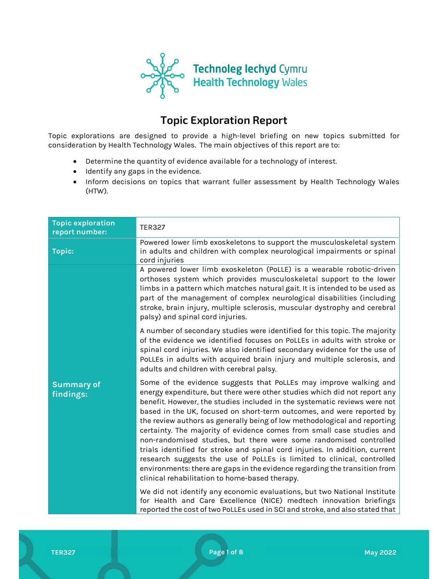

# Topic Exploration Report

Topic explorations are designed to provide a high-level briefing on new topics submitted for consideration by Health Technology Wales. The main objectives of this report are to:

- Determine the quantity of evidence available for a technology of interest.
- Identify any gaps in the evidence.
- Inform decisions on topics that warrant fuller assessment by Health Technology Wales (HTW).

| <b>Topic exploration</b><br>report number: | <b>TER327</b>                                                                                                                                                                                                                                                                                                                                                                                                                                                                                                                                                                                                                                                                                                                                                                                                            |
|--------------------------------------------|--------------------------------------------------------------------------------------------------------------------------------------------------------------------------------------------------------------------------------------------------------------------------------------------------------------------------------------------------------------------------------------------------------------------------------------------------------------------------------------------------------------------------------------------------------------------------------------------------------------------------------------------------------------------------------------------------------------------------------------------------------------------------------------------------------------------------|
| <b>Topic:</b>                              | Powered lower limb exoskeletons to support the musculoskeletal system<br>in adults and children with complex neurological impairments or spinal<br>cord injuries                                                                                                                                                                                                                                                                                                                                                                                                                                                                                                                                                                                                                                                         |
|                                            | A powered lower limb exoskeleton (PoLLE) is a wearable robotic-driven<br>orthoses system which provides musculoskeletal support to the lower<br>limbs in a pattern which matches natural gait. It is intended to be used as<br>part of the management of complex neurological disabilities (including<br>stroke, brain injury, multiple sclerosis, muscular dystrophy and cerebral<br>palsy) and spinal cord injuries.                                                                                                                                                                                                                                                                                                                                                                                                   |
|                                            | A number of secondary studies were identified for this topic. The majority<br>of the evidence we identified focuses on PoLLEs in adults with stroke or<br>spinal cord injuries. We also identified secondary evidence for the use of<br>PoLLEs in adults with acquired brain injury and multiple sclerosis, and<br>adults and children with cerebral palsy.                                                                                                                                                                                                                                                                                                                                                                                                                                                              |
| <b>Summary of</b><br>findings:             | Some of the evidence suggests that PoLLEs may improve walking and<br>energy expenditure, but there were other studies which did not report any<br>benefit. However, the studies included in the systematic reviews were not<br>based in the UK, focused on short-term outcomes, and were reported by<br>the review authors as generally being of low methodological and reporting<br>certainty. The majority of evidence comes from small case studies and<br>non-randomised studies, but there were some randomised controlled<br>trials identified for stroke and spinal cord injuries. In addition, current<br>research suggests the use of PoLLEs is limited to clinical, controlled<br>environments: there are gaps in the evidence regarding the transition from<br>clinical rehabilitation to home-based therapy. |
|                                            | We did not identify any economic evaluations, but two National Institute<br>for Health and Care Excellence (NICE) medtech innovation briefings<br>reported the cost of two PoLLEs used in SCI and stroke, and also stated that                                                                                                                                                                                                                                                                                                                                                                                                                                                                                                                                                                                           |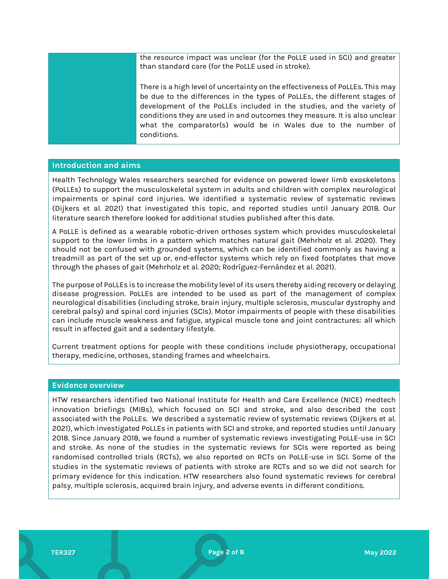the resource impact was unclear (for the PoLLE used in SCI) and greater than standard care (for the PoLLE used in stroke).

There is a high level of uncertainty on the effectiveness of PoLLEs. This may be due to the differences in the types of PoLLEs, the different stages of development of the PoLLEs included in the studies, and the variety of conditions they are used in and outcomes they measure. It is also unclear what the comparator(s) would be in Wales due to the number of conditions.

# Introduction and aims

Health Technology Wales researchers searched for evidence on powered lower limb exoskeletons (PoLLEs) to support the musculoskeletal system in adults and children with complex neurological impairments or spinal cord injuries. We identified a systematic review of systematic reviews (Dijkers et al. 2021) that investigated this topic, and reported studies until January 2018. Our literature search therefore looked for additional studies published after this date.

A PoLLE is defined as a wearable robotic-driven orthoses system which provides musculoskeletal support to the lower limbs in a pattern which matches natural gait (Mehrholz et al. 2020). They should not be confused with grounded systems, which can be identified commonly as having a treadmill as part of the set up or, end-effector systems which rely on fixed footplates that move through the phases of gait (Mehrholz et al. 2020; Rodríguez-Fernández et al. 2021).

The purpose of PoLLEs is to increase the mobility level of its users thereby aiding recovery or delaying disease progression. PoLLEs are intended to be used as part of the management of complex neurological disabilities (including stroke, brain injury, multiple sclerosis, muscular dystrophy and cerebral palsy) and spinal cord injuries (SCIs). Motor impairments of people with these disabilities can include muscle weakness and fatigue, atypical muscle tone and joint contractures: all which result in affected gait and a sedentary lifestyle.

Current treatment options for people with these conditions include physiotherapy, occupational therapy, medicine, orthoses, standing frames and wheelchairs.

# Evidence overview

HTW researchers identified two National Institute for Health and Care Excellence (NICE) medtech innovation briefings (MIBs), which focused on SCI and stroke, and also described the cost associated with the PoLLEs. We described a systematic review of systematic reviews (Dijkers et al. 2021), which investigated PoLLEs in patients with SCI and stroke, and reported studies until January 2018. Since January 2018, we found a number of systematic reviews investigating PoLLE-use in SCI and stroke. As none of the studies in the systematic reviews for SCIs were reported as being randomised controlled trials (RCTs), we also reported on RCTs on PoLLE-use in SCI. Some of the studies in the systematic reviews of patients with stroke are RCTs and so we did not search for primary evidence for this indication. HTW researchers also found systematic reviews for cerebral palsy, multiple sclerosis, acquired brain injury, and adverse events in different conditions.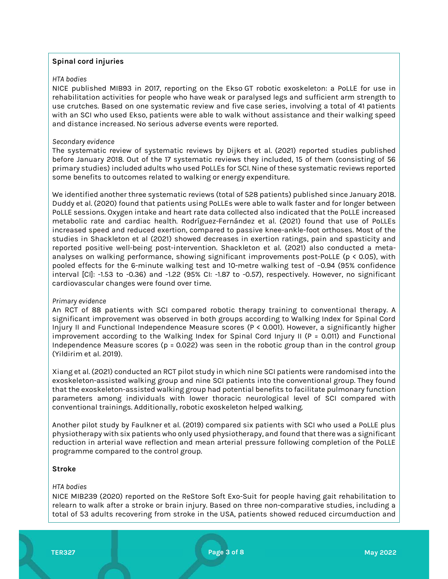# Spinal cord injuries

# HTA bodies

NICE published MIB93 in 2017, reporting on the Ekso GT robotic exoskeleton: a PoLLE for use in rehabilitation activities for people who have weak or paralysed legs and sufficient arm strength to use crutches. Based on one systematic review and five case series, involving a total of 41 patients with an SCI who used Ekso, patients were able to walk without assistance and their walking speed and distance increased. No serious adverse events were reported.

#### Secondary evidence

The systematic review of systematic reviews by Dijkers et al. (2021) reported studies published before January 2018. Out of the 17 systematic reviews they included, 15 of them (consisting of 56 primary studies) included adults who used PoLLEs for SCI. Nine of these systematic reviews reported some benefits to outcomes related to walking or energy expenditure.

We identified another three systematic reviews (total of 528 patients) published since January 2018. Duddy et al. (2020) found that patients using PoLLEs were able to walk faster and for longer between PoLLE sessions. Oxygen intake and heart rate data collected also indicated that the PoLLE increased metabolic rate and cardiac health. Rodríguez-Fernández et al. (2021) found that use of PoLLEs increased speed and reduced exertion, compared to passive knee-ankle-foot orthoses. Most of the studies in Shackleton et al (2021) showed decreases in exertion ratings, pain and spasticity and reported positive well-being post-intervention. Shackleton et al. (2021) also conducted a metaanalyses on walking performance, showing significant improvements post-PoLLE (p < 0.05), with pooled effects for the 6-minute walking test and 10-metre walking test of −0.94 (95% confidence interval [CI]: -1.53 to -0.36) and -1.22 (95% CI: -1.87 to -0.57), respectively. However, no significant cardiovascular changes were found over time.

# Primary evidence

An RCT of 88 patients with SCI compared robotic therapy training to conventional therapy. A significant improvement was observed in both groups according to Walking Index for Spinal Cord Injury II and Functional Independence Measure scores (P < 0.001). However, a significantly higher improvement according to the Walking Index for Spinal Cord Injury II (P = 0.011) and Functional Independence Measure scores (p = 0.022) was seen in the robotic group than in the control group (Yildirim et al. 2019).

Xiang et al. (2021) conducted an RCT pilot study in which nine SCI patients were randomised into the exoskeleton-assisted walking group and nine SCI patients into the conventional group. They found that the exoskeleton-assisted walking group had potential benefits to facilitate pulmonary function parameters among individuals with lower thoracic neurological level of SCI compared with conventional trainings. Additionally, robotic exoskeleton helped walking.

Another pilot study by Faulkner et al. (2019) compared six patients with SCI who used a PoLLE plus physiotherapy with six patients who only used physiotherapy, and found that there was a significant reduction in arterial wave reflection and mean arterial pressure following completion of the PoLLE programme compared to the control group.

# Stroke

#### HTA bodies

NICE MIB239 (2020) reported on the ReStore Soft Exo-Suit for people having gait rehabilitation to relearn to walk after a stroke or brain injury. Based on three non-comparative studies, including a total of 53 adults recovering from stroke in the USA, patients showed reduced circumduction and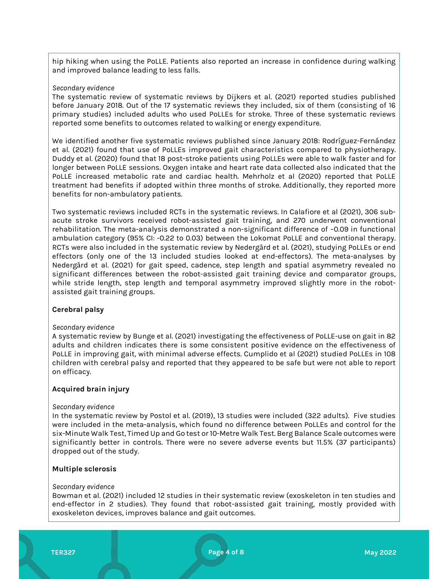hip hiking when using the PoLLE. Patients also reported an increase in confidence during walking and improved balance leading to less falls.

#### Secondary evidence

The systematic review of systematic reviews by Dijkers et al. (2021) reported studies published before January 2018. Out of the 17 systematic reviews they included, six of them (consisting of 16 primary studies) included adults who used PoLLEs for stroke. Three of these systematic reviews reported some benefits to outcomes related to walking or energy expenditure.

We identified another five systematic reviews published since January 2018: Rodríguez-Fernández et al. (2021) found that use of PoLLEs improved gait characteristics compared to physiotherapy. Duddy et al. (2020) found that 18 post-stroke patients using PoLLEs were able to walk faster and for longer between PoLLE sessions. Oxygen intake and heart rate data collected also indicated that the PoLLE increased metabolic rate and cardiac health. Mehrholz et al (2020) reported that PoLLE treatment had benefits if adopted within three months of stroke. Additionally, they reported more benefits for non-ambulatory patients.

Two systematic reviews included RCTs in the systematic reviews. In Calafiore et al (2021), 306 subacute stroke survivors received robot-assisted gait training, and 270 underwent conventional rehabilitation. The meta-analysis demonstrated a non-significant difference of −0.09 in functional ambulation category (95% CI: -0.22 to 0.03) between the Lokomat PoLLE and conventional therapy. RCTs were also included in the systematic review by Nedergård et al. (2021), studying PoLLEs or end effectors (only one of the 13 included studies looked at end-effectors). The meta-analyses by Nedergård et al. (2021) for gait speed, cadence, step length and spatial asymmetry revealed no significant differences between the robot-assisted gait training device and comparator groups, while stride length, step length and temporal asymmetry improved slightly more in the robotassisted gait training groups.

# Cerebral palsy

# Secondary evidence

A systematic review by Bunge et al. (2021) investigating the effectiveness of PoLLE-use on gait in 82 adults and children indicates there is some consistent positive evidence on the effectiveness of PoLLE in improving gait, with minimal adverse effects. Cumplido et al (2021) studied PoLLEs in 108 children with cerebral palsy and reported that they appeared to be safe but were not able to report on efficacy.

# Acquired brain injury

#### Secondary evidence

In the systematic review by Postol et al. (2019), 13 studies were included (322 adults). Five studies were included in the meta-analysis, which found no difference between PoLLEs and control for the six-Minute Walk Test, Timed Up and Go test or 10-Metre Walk Test. Berg Balance Scale outcomes were significantly better in controls. There were no severe adverse events but 11.5% (37 participants) dropped out of the study.

# Multiple sclerosis

#### Secondary evidence

Bowman et al. (2021) included 12 studies in their systematic review (exoskeleton in ten studies and end-effector in 2 studies). They found that robot-assisted gait training, mostly provided with exoskeleton devices, improves balance and gait outcomes.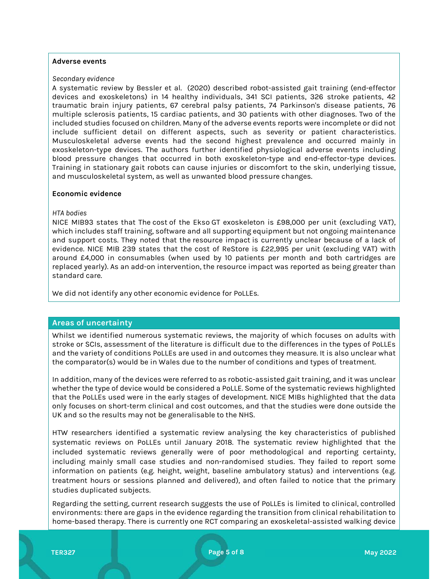#### Adverse events

#### Secondary evidence

A systematic review by Bessler et al. (2020) described robot-assisted gait training (end-effector devices and exoskeletons) in 14 healthy individuals, 341 SCI patients, 326 stroke patients, 42 traumatic brain injury patients, 67 cerebral palsy patients, 74 Parkinson's disease patients, 76 multiple sclerosis patients, 15 cardiac patients, and 30 patients with other diagnoses. Two of the included studies focused on children. Many of the adverse events reports were incomplete or did not include sufficient detail on different aspects, such as severity or patient characteristics. Musculoskeletal adverse events had the second highest prevalence and occurred mainly in exoskeleton-type devices. The authors further identified physiological adverse events including blood pressure changes that occurred in both exoskeleton-type and end-effector-type devices. Training in stationary gait robots can cause injuries or discomfort to the skin, underlying tissue, and musculoskeletal system, as well as unwanted blood pressure changes.

# Economic evidence

#### HTA bodies

NICE MIB93 states that The cost of the Ekso GT exoskeleton is £98,000 per unit (excluding VAT), which includes staff training, software and all supporting equipment but not ongoing maintenance and support costs. They noted that the resource impact is currently unclear because of a lack of evidence. NICE MIB 239 states that the cost of ReStore is £22,995 per unit (excluding VAT) with around £4,000 in consumables (when used by 10 patients per month and both cartridges are replaced yearly). As an add-on intervention, the resource impact was reported as being greater than standard care.

We did not identify any other economic evidence for PoLLEs.

# Areas of uncertainty

Whilst we identified numerous systematic reviews, the majority of which focuses on adults with stroke or SCIs, assessment of the literature is difficult due to the differences in the types of PoLLEs and the variety of conditions PoLLEs are used in and outcomes they measure. It is also unclear what the comparator(s) would be in Wales due to the number of conditions and types of treatment.

In addition, many of the devices were referred to as robotic-assisted gait training, and it was unclear whether the type of device would be considered a PoLLE. Some of the systematic reviews highlighted that the PoLLEs used were in the early stages of development. NICE MIBs highlighted that the data only focuses on short-term clinical and cost outcomes, and that the studies were done outside the UK and so the results may not be generalisable to the NHS.

HTW researchers identified a systematic review analysing the key characteristics of published systematic reviews on PoLLEs until January 2018. The systematic review highlighted that the included systematic reviews generally were of poor methodological and reporting certainty, including mainly small case studies and non-randomised studies. They failed to report some information on patients (e.g. height, weight, baseline ambulatory status) and interventions (e.g. treatment hours or sessions planned and delivered), and often failed to notice that the primary studies duplicated subjects.

Regarding the setting, current research suggests the use of PoLLEs is limited to clinical, controlled environments: there are gaps in the evidence regarding the transition from clinical rehabilitation to home-based therapy. There is currently one RCT comparing an exoskeletal-assisted walking device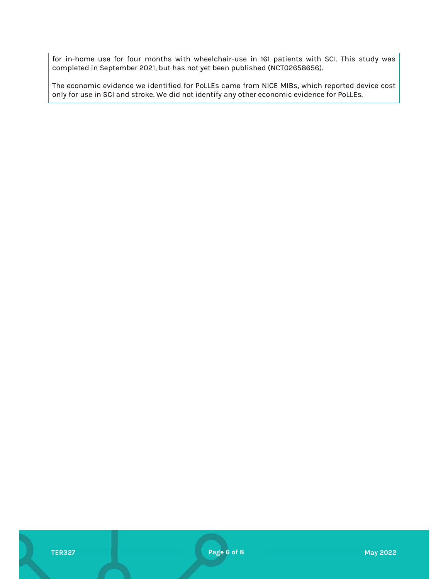for in-home use for four months with wheelchair-use in 161 patients with SCI. This study was completed in September 2021, but has not yet been published (NCT02658656).

The economic evidence we identified for PoLLEs came from NICE MIBs, which reported device cost only for use in SCI and stroke. We did not identify any other economic evidence for PoLLEs.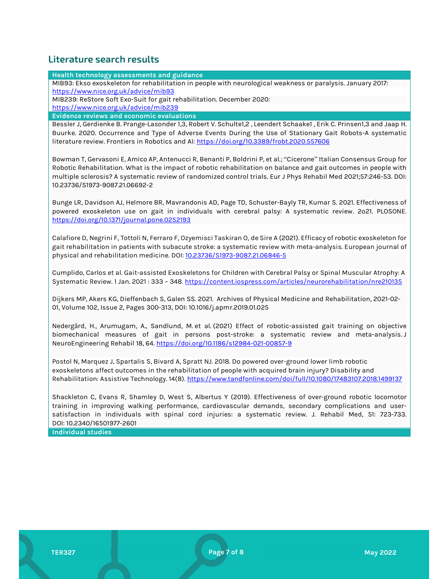# Literature search results

Health technology assessments and guidance

MIB93: Ekso exoskeleton for rehabilitation in people with neurological weakness or paralysis. January 2017: https://www.nice.org.uk/advice/mib93

MIB239: ReStore Soft Exo-Suit for gait rehabilitation. December 2020:

https://www.nice.org.uk/advice/mib239

Evidence reviews and economic evaluations

Bessler J, Gerdienke B. Prange-Lasonder 1,3, Robert V. Schulte1,2 , Leendert Schaake1 , Erik C. Prinsen1,3 and Jaap H. Buurke. 2020. Occurrence and Type of Adverse Events During the Use of Stationary Gait Robots-A systematic literature review. Frontiers in Robotics and AI: https://doi.org/10.3389/frobt.2020.557606

Bowman T, Gervasoni E, Amico AP, Antenucci R, Benanti P, Boldrini P, et al.; "Cicerone" Italian Consensus Group for Robotic Rehabilitation. What is the impact of robotic rehabilitation on balance and gait outcomes in people with multiple sclerosis? A systematic review of randomized control trials. Eur J Phys Rehabil Med 2021;57:246-53. DOI: 10.23736/S1973-9087.21.06692-2

Bunge LR, Davidson AJ, Helmore BR, Mavrandonis AD, Page TD, Schuster-Bayly TR, Kumar S. 2021. Effectiveness of powered exoskeleton use on gait in individuals with cerebral palsy: A systematic review. 2o21. PLOSONE. https://doi.org/10.1371/journal.pone.0252193

Calafiore D, Negrini F, Tottoli N, Ferraro F, Ozyemisci Taskiran O, de Sire A (2021). Efficacy of robotic exoskeleton for gait rehabilitation in patients with subacute stroke: a systematic review with meta-analysis. European journal of physical and rehabilitation medicine. DOI: 10.23736/S1973-9087.21.06846-5

Cumplido, Carlos et al. Gait-assisted Exoskeletons for Children with Cerebral Palsy or Spinal Muscular Atrophy: A Systematic Review. 1 Jan. 2021 : 333 – 348. https://content.iospress.com/articles/neurorehabilitation/nre210135

Dijkers MP, Akers KG, Dieffenbach S, Galen SS. 2021. Archives of Physical Medicine and Rehabilitation, 2021-02- 01, Volume 102, Issue 2, Pages 300-313, DOI: 10.1016/j.apmr.2019.01.025

Nedergård, H., Arumugam, A., Sandlund, M. et al. (2021) Effect of robotic-assisted gait training on objective biomechanical measures of gait in persons post-stroke: a systematic review and meta-analysis. J NeuroEngineering Rehabil 18, 64. <u>https://doi.org/10.1186/s12984-021-00857-9</u><br>Postol N, Marquez J, Spartalis S, Bivard A, Spratt NJ. 2018. Do powered over-ground lower limb robotic

exoskeletons affect outcomes in the rehabilitation of people with acquired brain injury? Disability and Rehabilitation: Assistive Technology. 14(8). https://www.tandfonline.com/doi/full/10.1080/17483107.2018.1499137

Shackleton C, Evans R, Shamley D, West S, Albertus Y (2019). Effectiveness of over-ground robotic locomotor training in improving walking performance, cardiovascular demands, secondary complications and usersatisfaction in individuals with spinal cord injuries: a systematic review. J. Rehabil Med, 51: 723-733. DOI: 10.2340/16501977-2601

Individual studies